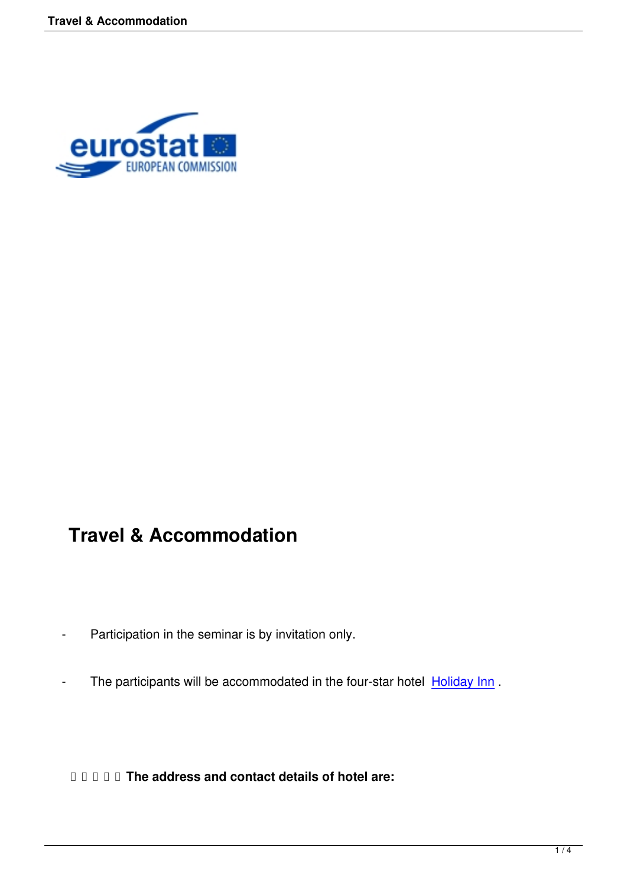

## **Travel & Accommodation**

- Participation in the seminar is by invitation only.
- The participants will be accommodated in the four-star hotel **Holiday Inn**.

 **The address and contact details of hotel are:**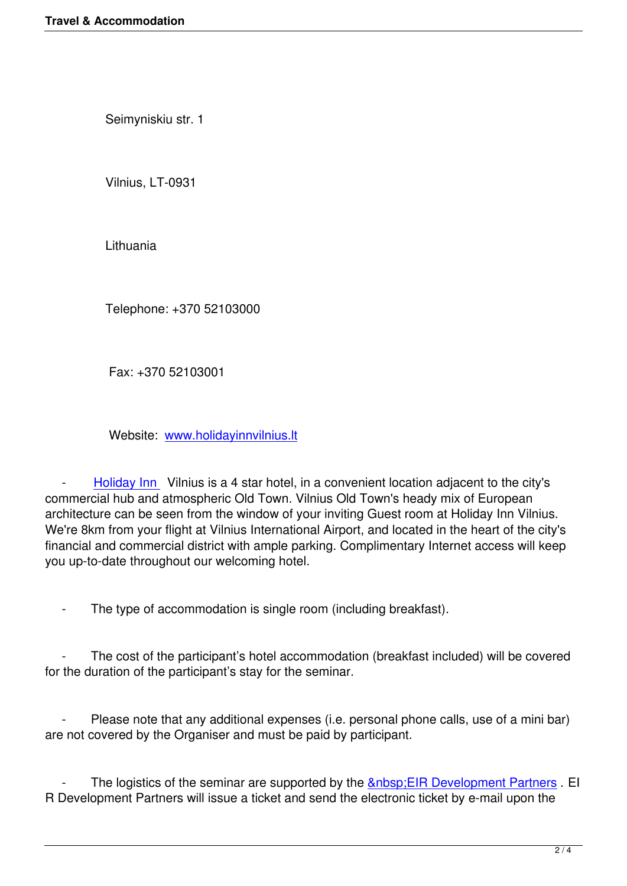Seimyniskiu str. 1

Vilnius, LT-0931

Lithuania

Telephone: +370 52103000

Fax: +370 52103001

Website: www.holidayinnvilnius.lt

 - Holiday Inn  [Vilnius is a 4 star hotel,](http://www.holidayinnvilnius.lt/) in a convenient location adjacent to the city's commercial hub and atmospheric Old Town. Vilnius Old Town's heady mix of European architecture can be seen from the window of your inviting Guest room at Holiday Inn Vilnius. We're 8[km from your](http://www.holidayinnvilnius.lt/) flight at Vilnius International Airport, and located in the heart of the city's financial and commercial district with ample parking. Complimentary Internet access will keep you up-to-date throughout our welcoming hotel.

The type of accommodation is single room (including breakfast).

 - The cost of the participant's hotel accommodation (breakfast included) will be covered for the duration of the participant's stay for the seminar.

 - Please note that any additional expenses (i.e. personal phone calls, use of a mini bar) are not covered by the Organiser and must be paid by participant.

The logistics of the seminar are supported by the  $\&n$ nbsp; EIR Development Partners . EI R Development Partners will issue a ticket and send the electronic ticket by e-mail upon the